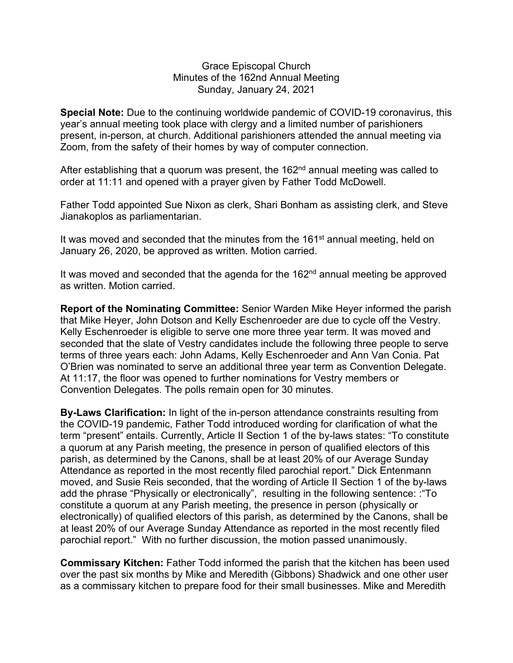## Grace Episcopal Church Minutes of the 162nd Annual Meeting Sunday, January 24, 2021

**Special Note:** Due to the continuing worldwide pandemic of COVID-19 coronavirus, this year's annual meeting took place with clergy and a limited number of parishioners present, in-person, at church. Additional parishioners attended the annual meeting via Zoom, from the safety of their homes by way of computer connection.

After establishing that a quorum was present, the  $162<sup>nd</sup>$  annual meeting was called to order at 11:11 and opened with a prayer given by Father Todd McDowell.

Father Todd appointed Sue Nixon as clerk, Shari Bonham as assisting clerk, and Steve Jianakoplos as parliamentarian.

It was moved and seconded that the minutes from the 161<sup>st</sup> annual meeting, held on January 26, 2020, be approved as written. Motion carried.

It was moved and seconded that the agenda for the  $162<sup>nd</sup>$  annual meeting be approved as written. Motion carried.

**Report of the Nominating Committee:** Senior Warden Mike Heyer informed the parish that Mike Heyer, John Dotson and Kelly Eschenroeder are due to cycle off the Vestry. Kelly Eschenroeder is eligible to serve one more three year term. It was moved and seconded that the slate of Vestry candidates include the following three people to serve terms of three years each: John Adams, Kelly Eschenroeder and Ann Van Conia. Pat O'Brien was nominated to serve an additional three year term as Convention Delegate. At 11:17, the floor was opened to further nominations for Vestry members or Convention Delegates. The polls remain open for 30 minutes.

**By-Laws Clarification:** In light of the in-person attendance constraints resulting from the COVID-19 pandemic, Father Todd introduced wording for clarification of what the term "present" entails. Currently, Article II Section 1 of the by-laws states: "To constitute a quorum at any Parish meeting, the presence in person of qualified electors of this parish, as determined by the Canons, shall be at least 20% of our Average Sunday Attendance as reported in the most recently filed parochial report." Dick Entenmann moved, and Susie Reis seconded, that the wording of Article II Section 1 of the by-laws add the phrase "Physically or electronically", resulting in the following sentence: :"To constitute a quorum at any Parish meeting, the presence in person (physically or electronically) of qualified electors of this parish, as determined by the Canons, shall be at least 20% of our Average Sunday Attendance as reported in the most recently filed parochial report." With no further discussion, the motion passed unanimously.

**Commissary Kitchen:** Father Todd informed the parish that the kitchen has been used over the past six months by Mike and Meredith (Gibbons) Shadwick and one other user as a commissary kitchen to prepare food for their small businesses. Mike and Meredith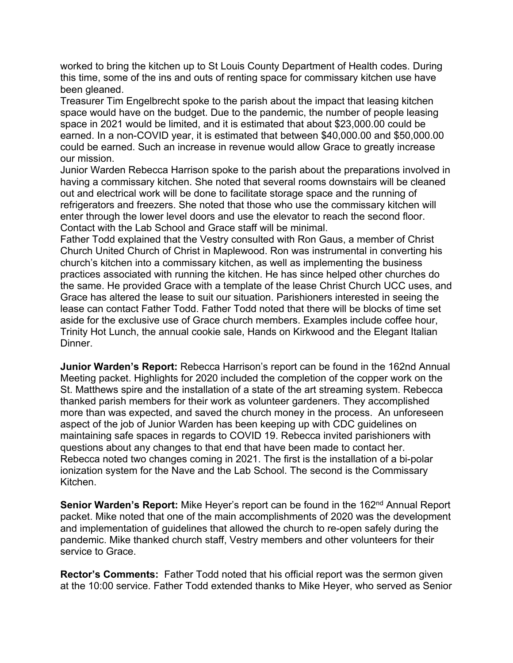worked to bring the kitchen up to St Louis County Department of Health codes. During this time, some of the ins and outs of renting space for commissary kitchen use have been gleaned.

Treasurer Tim Engelbrecht spoke to the parish about the impact that leasing kitchen space would have on the budget. Due to the pandemic, the number of people leasing space in 2021 would be limited, and it is estimated that about \$23,000.00 could be earned. In a non-COVID year, it is estimated that between \$40,000.00 and \$50,000.00 could be earned. Such an increase in revenue would allow Grace to greatly increase our mission.

Junior Warden Rebecca Harrison spoke to the parish about the preparations involved in having a commissary kitchen. She noted that several rooms downstairs will be cleaned out and electrical work will be done to facilitate storage space and the running of refrigerators and freezers. She noted that those who use the commissary kitchen will enter through the lower level doors and use the elevator to reach the second floor. Contact with the Lab School and Grace staff will be minimal.

Father Todd explained that the Vestry consulted with Ron Gaus, a member of Christ Church United Church of Christ in Maplewood. Ron was instrumental in converting his church's kitchen into a commissary kitchen, as well as implementing the business practices associated with running the kitchen. He has since helped other churches do the same. He provided Grace with a template of the lease Christ Church UCC uses, and Grace has altered the lease to suit our situation. Parishioners interested in seeing the lease can contact Father Todd. Father Todd noted that there will be blocks of time set aside for the exclusive use of Grace church members. Examples include coffee hour, Trinity Hot Lunch, the annual cookie sale, Hands on Kirkwood and the Elegant Italian Dinner.

**Junior Warden's Report:** Rebecca Harrison's report can be found in the 162nd Annual Meeting packet. Highlights for 2020 included the completion of the copper work on the St. Matthews spire and the installation of a state of the art streaming system. Rebecca thanked parish members for their work as volunteer gardeners. They accomplished more than was expected, and saved the church money in the process. An unforeseen aspect of the job of Junior Warden has been keeping up with CDC guidelines on maintaining safe spaces in regards to COVID 19. Rebecca invited parishioners with questions about any changes to that end that have been made to contact her. Rebecca noted two changes coming in 2021. The first is the installation of a bi-polar ionization system for the Nave and the Lab School. The second is the Commissary Kitchen.

**Senior Warden's Report:** Mike Heyer's report can be found in the 162<sup>nd</sup> Annual Report packet. Mike noted that one of the main accomplishments of 2020 was the development and implementation of guidelines that allowed the church to re-open safely during the pandemic. Mike thanked church staff, Vestry members and other volunteers for their service to Grace.

**Rector's Comments:** Father Todd noted that his official report was the sermon given at the 10:00 service. Father Todd extended thanks to Mike Heyer, who served as Senior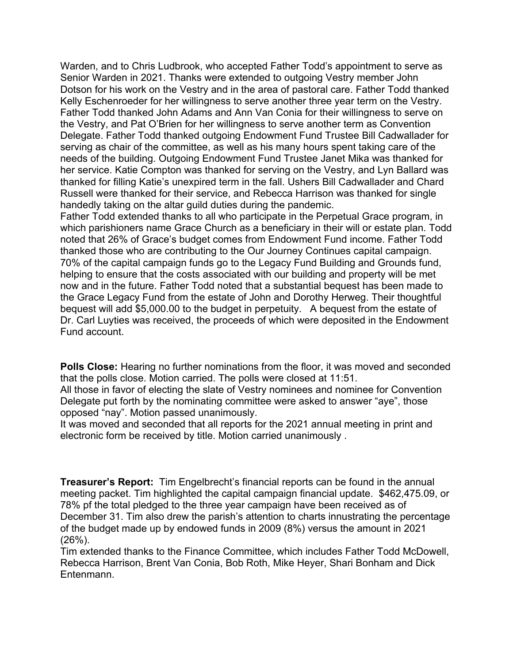Warden, and to Chris Ludbrook, who accepted Father Todd's appointment to serve as Senior Warden in 2021. Thanks were extended to outgoing Vestry member John Dotson for his work on the Vestry and in the area of pastoral care. Father Todd thanked Kelly Eschenroeder for her willingness to serve another three year term on the Vestry. Father Todd thanked John Adams and Ann Van Conia for their willingness to serve on the Vestry, and Pat O'Brien for her willingness to serve another term as Convention Delegate. Father Todd thanked outgoing Endowment Fund Trustee Bill Cadwallader for serving as chair of the committee, as well as his many hours spent taking care of the needs of the building. Outgoing Endowment Fund Trustee Janet Mika was thanked for her service. Katie Compton was thanked for serving on the Vestry, and Lyn Ballard was thanked for filling Katie's unexpired term in the fall. Ushers Bill Cadwallader and Chard Russell were thanked for their service, and Rebecca Harrison was thanked for single handedly taking on the altar guild duties during the pandemic.

Father Todd extended thanks to all who participate in the Perpetual Grace program, in which parishioners name Grace Church as a beneficiary in their will or estate plan. Todd noted that 26% of Grace's budget comes from Endowment Fund income. Father Todd thanked those who are contributing to the Our Journey Continues capital campaign. 70% of the capital campaign funds go to the Legacy Fund Building and Grounds fund, helping to ensure that the costs associated with our building and property will be met now and in the future. Father Todd noted that a substantial bequest has been made to the Grace Legacy Fund from the estate of John and Dorothy Herweg. Their thoughtful bequest will add \$5,000.00 to the budget in perpetuity. A bequest from the estate of Dr. Carl Luyties was received, the proceeds of which were deposited in the Endowment Fund account.

**Polls Close:** Hearing no further nominations from the floor, it was moved and seconded that the polls close. Motion carried. The polls were closed at 11:51.

All those in favor of electing the slate of Vestry nominees and nominee for Convention Delegate put forth by the nominating committee were asked to answer "aye", those opposed "nay". Motion passed unanimously.

It was moved and seconded that all reports for the 2021 annual meeting in print and electronic form be received by title. Motion carried unanimously .

**Treasurer's Report:** Tim Engelbrecht's financial reports can be found in the annual meeting packet. Tim highlighted the capital campaign financial update. \$462,475.09, or 78% pf the total pledged to the three year campaign have been received as of December 31. Tim also drew the parish's attention to charts innustrating the percentage of the budget made up by endowed funds in 2009 (8%) versus the amount in 2021  $(26%)$ .

Tim extended thanks to the Finance Committee, which includes Father Todd McDowell, Rebecca Harrison, Brent Van Conia, Bob Roth, Mike Heyer, Shari Bonham and Dick Entenmann.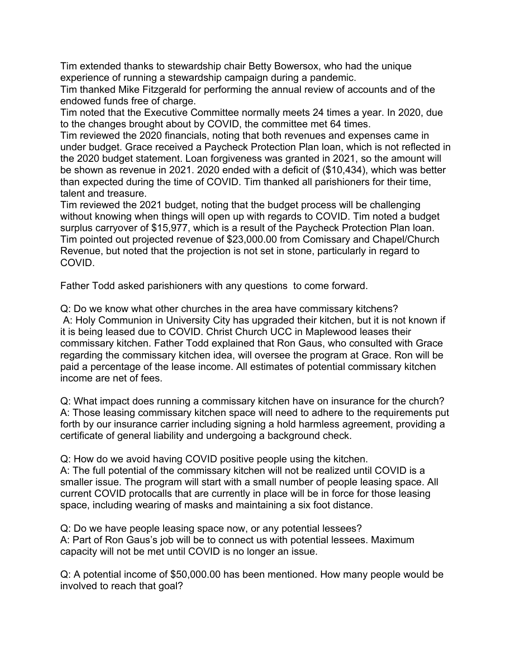Tim extended thanks to stewardship chair Betty Bowersox, who had the unique experience of running a stewardship campaign during a pandemic.

Tim thanked Mike Fitzgerald for performing the annual review of accounts and of the endowed funds free of charge.

Tim noted that the Executive Committee normally meets 24 times a year. In 2020, due to the changes brought about by COVID, the committee met 64 times.

Tim reviewed the 2020 financials, noting that both revenues and expenses came in under budget. Grace received a Paycheck Protection Plan loan, which is not reflected in the 2020 budget statement. Loan forgiveness was granted in 2021, so the amount will be shown as revenue in 2021. 2020 ended with a deficit of (\$10,434), which was better than expected during the time of COVID. Tim thanked all parishioners for their time, talent and treasure.

Tim reviewed the 2021 budget, noting that the budget process will be challenging without knowing when things will open up with regards to COVID. Tim noted a budget surplus carryover of \$15,977, which is a result of the Paycheck Protection Plan loan. Tim pointed out projected revenue of \$23,000.00 from Comissary and Chapel/Church Revenue, but noted that the projection is not set in stone, particularly in regard to COVID.

Father Todd asked parishioners with any questions to come forward.

Q: Do we know what other churches in the area have commissary kitchens? A: Holy Communion in University City has upgraded their kitchen, but it is not known if it is being leased due to COVID. Christ Church UCC in Maplewood leases their commissary kitchen. Father Todd explained that Ron Gaus, who consulted with Grace regarding the commissary kitchen idea, will oversee the program at Grace. Ron will be paid a percentage of the lease income. All estimates of potential commissary kitchen income are net of fees.

Q: What impact does running a commissary kitchen have on insurance for the church? A: Those leasing commissary kitchen space will need to adhere to the requirements put forth by our insurance carrier including signing a hold harmless agreement, providing a certificate of general liability and undergoing a background check.

Q: How do we avoid having COVID positive people using the kitchen. A: The full potential of the commissary kitchen will not be realized until COVID is a smaller issue. The program will start with a small number of people leasing space. All current COVID protocalls that are currently in place will be in force for those leasing space, including wearing of masks and maintaining a six foot distance.

Q: Do we have people leasing space now, or any potential lessees? A: Part of Ron Gaus's job will be to connect us with potential lessees. Maximum capacity will not be met until COVID is no longer an issue.

Q: A potential income of \$50,000.00 has been mentioned. How many people would be involved to reach that goal?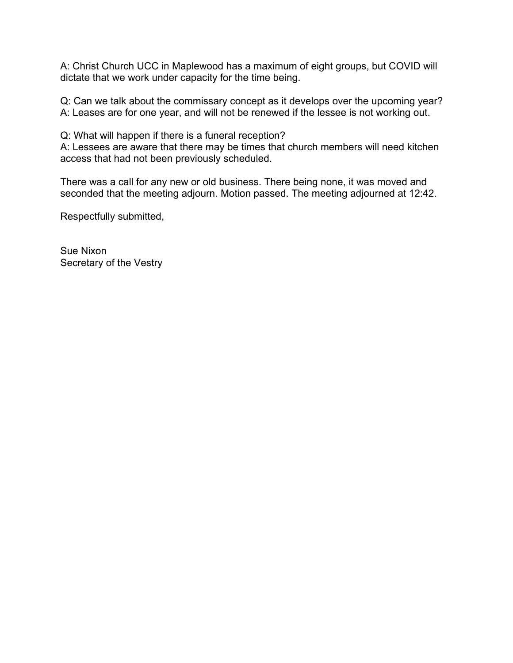A: Christ Church UCC in Maplewood has a maximum of eight groups, but COVID will dictate that we work under capacity for the time being.

Q: Can we talk about the commissary concept as it develops over the upcoming year? A: Leases are for one year, and will not be renewed if the lessee is not working out.

Q: What will happen if there is a funeral reception?

A: Lessees are aware that there may be times that church members will need kitchen access that had not been previously scheduled.

There was a call for any new or old business. There being none, it was moved and seconded that the meeting adjourn. Motion passed. The meeting adjourned at 12:42.

Respectfully submitted,

Sue Nixon Secretary of the Vestry